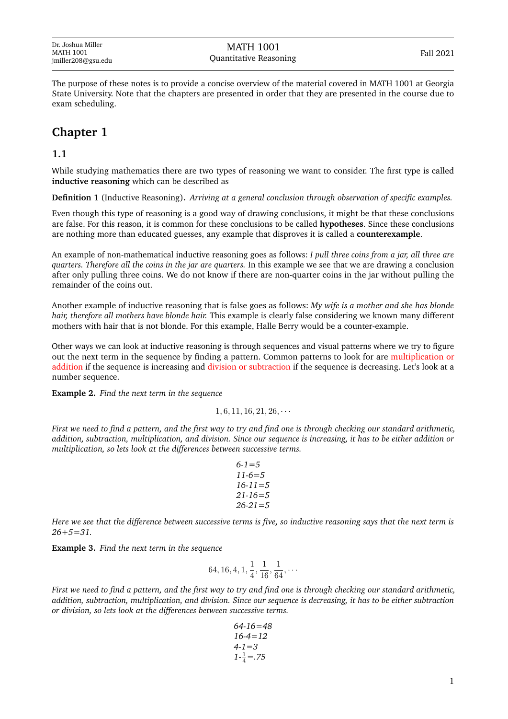The purpose of these notes is to provide a concise overview of the material covered in MATH 1001 at Georgia State University. Note that the chapters are presented in order that they are presented in the course due to exam scheduling.

# **Chapter 1**

### **1.1**

While studying mathematics there are two types of reasoning we want to consider. The first type is called **inductive reasoning** which can be described as

**Definition 1** (Inductive Reasoning)**.** *Arriving at a general conclusion through observation of specific examples.*

Even though this type of reasoning is a good way of drawing conclusions, it might be that these conclusions are false. For this reason, it is common for these conclusions to be called **hypotheses**. Since these conclusions are nothing more than educated guesses, any example that disproves it is called a **counterexample**.

An example of non-mathematical inductive reasoning goes as follows: *I pull three coins from a jar, all three are quarters. Therefore all the coins in the jar are quarters.* In this example we see that we are drawing a conclusion after only pulling three coins. We do not know if there are non-quarter coins in the jar without pulling the remainder of the coins out.

Another example of inductive reasoning that is false goes as follows: *My wife is a mother and she has blonde hair, therefore all mothers have blonde hair.* This example is clearly false considering we known many different mothers with hair that is not blonde. For this example, Halle Berry would be a counter-example.

Other ways we can look at inductive reasoning is through sequences and visual patterns where we try to figure out the next term in the sequence by finding a pattern. Common patterns to look for are multiplication or addition if the sequence is increasing and division or subtraction if the sequence is decreasing. Let's look at a number sequence.

**Example 2.** *Find the next term in the sequence*

 $1, 6, 11, 16, 21, 26, \cdots$ 

*First we need to find a pattern, and the first way to try and find one is through checking our standard arithmetic, addition, subtraction, multiplication, and division. Since our sequence is increasing, it has to be either addition or multiplication, so lets look at the differences between successive terms.*

$$
6-1=5\n11-6=5\n16-11=5\n21-16=5\n26-21=5
$$

*Here we see that the difference between successive terms is five, so inductive reasoning says that the next term is 26+5=31.*

**Example 3.** *Find the next term in the sequence*

$$
64, 16, 4, 1, \frac{1}{4}, \frac{1}{16}, \frac{1}{64}, \cdots
$$

*First we need to find a pattern, and the first way to try and find one is through checking our standard arithmetic, addition, subtraction, multiplication, and division. Since our sequence is decreasing, it has to be either subtraction or division, so lets look at the differences between successive terms.*

$$
64-16=48
$$
  
16-4=12  
4-1=3  

$$
1-\frac{1}{4}=.75
$$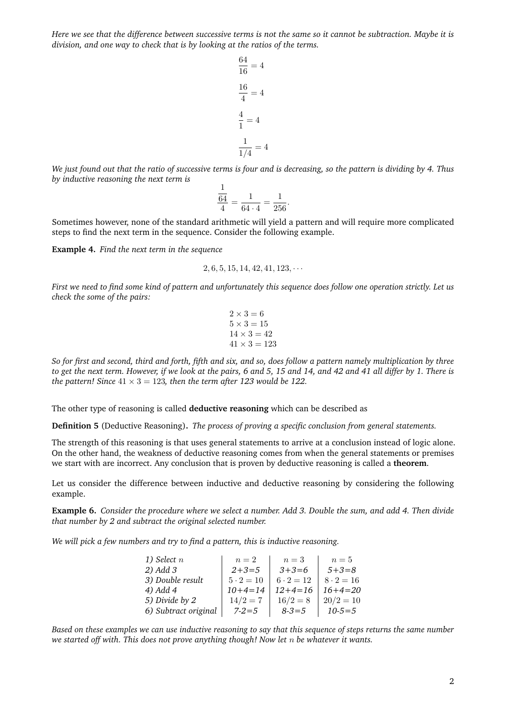*Here we see that the difference between successive terms is not the same so it cannot be subtraction. Maybe it is division, and one way to check that is by looking at the ratios of the terms.*

> 64  $\frac{31}{16} = 4$ 16  $\frac{16}{4} = 4$ 4  $\frac{1}{1} = 4$ 1  $\frac{1}{1/4} = 4$

*We just found out that the ratio of successive terms is four and is decreasing, so the pattern is dividing by 4. Thus by inductive reasoning the next term is*

$$
\frac{\frac{1}{64}}{\frac{4}{4}} = \frac{1}{64 \cdot 4} = \frac{1}{256}.
$$

Sometimes however, none of the standard arithmetic will yield a pattern and will require more complicated steps to find the next term in the sequence. Consider the following example.

**Example 4.** *Find the next term in the sequence*

$$
2, 6, 5, 15, 14, 42, 41, 123, \cdots
$$

*First we need to find some kind of pattern and unfortunately this sequence does follow one operation strictly. Let us check the some of the pairs:*

$$
2 \times 3 = 6
$$
  
\n
$$
5 \times 3 = 15
$$
  
\n
$$
14 \times 3 = 42
$$
  
\n
$$
41 \times 3 = 123
$$

*So for first and second, third and forth, fifth and six, and so, does follow a pattern namely multiplication by three to get the next term. However, if we look at the pairs, 6 and 5, 15 and 14, and 42 and 41 all differ by 1. There is the pattern! Since*  $41 \times 3 = 123$ *, then the term after 123 would be 122.* 

The other type of reasoning is called **deductive reasoning** which can be described as

**Definition 5** (Deductive Reasoning)**.** *The process of proving a specific conclusion from general statements.*

The strength of this reasoning is that uses general statements to arrive at a conclusion instead of logic alone. On the other hand, the weakness of deductive reasoning comes from when the general statements or premises we start with are incorrect. Any conclusion that is proven by deductive reasoning is called a **theorem**.

Let us consider the difference between inductive and deductive reasoning by considering the following example.

**Example 6.** *Consider the procedure where we select a number. Add 3. Double the sum, and add 4. Then divide that number by 2 and subtract the original selected number.*

*We will pick a few numbers and try to find a pattern, this is inductive reasoning.*

| 1) Select $n$        | $n=2$            | $n=3$            | $n=5$            |
|----------------------|------------------|------------------|------------------|
| 2) Add 3             | $2+3=5$          | $3+3=6$          | $5 + 3 = 8$      |
| 3) Double result     | $5 \cdot 2 = 10$ | $6 \cdot 2 = 12$ | $8 \cdot 2 = 16$ |
| 4) Add 4             | $10+4=14$        | $12+4=16$        | $16+4=20$        |
| 5) Divide by 2       | $14/2 = 7$       | $16/2 = 8$       | $20/2 = 10$      |
| 6) Subtract original | $7 - 2 = 5$      | $8 - 3 = 5$      | $10 - 5 = 5$     |

*Based on these examples we can use inductive reasoning to say that this sequence of steps returns the same number we started off with. This does not prove anything though! Now let* n *be whatever it wants.*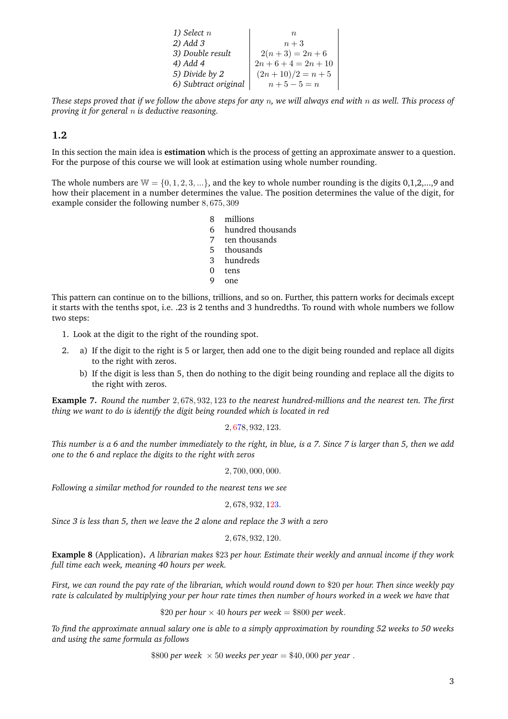| 1) Select $n$        | $\eta$                 |
|----------------------|------------------------|
| 2) Add 3             | $n+3$                  |
| 3) Double result     | $2(n+3) = 2n+6$        |
| 4) Add 4             | $2n + 6 + 4 = 2n + 10$ |
| 5) Divide by 2       | $(2n+10)/2 = n+5$      |
| 6) Subtract original | $n+5-5=n$              |

*These steps proved that if we follow the above steps for any* n*, we will always end with* n *as well. This process of proving it for general* n *is deductive reasoning.*

## **1.2**

In this section the main idea is **estimation** which is the process of getting an approximate answer to a question. For the purpose of this course we will look at estimation using whole number rounding.

The whole numbers are  $W = \{0, 1, 2, 3, ...\}$ , and the key to whole number rounding is the digits 0,1,2,...,9 and how their placement in a number determines the value. The position determines the value of the digit, for example consider the following number 8, 675, 309

- 8 millions
- 6 hundred thousands
- 7 ten thousands
- 5 thousands
- 3 hundreds
- 0 tens
- 9 one

This pattern can continue on to the billions, trillions, and so on. Further, this pattern works for decimals except it starts with the tenths spot, i.e. .23 is 2 tenths and 3 hundredths. To round with whole numbers we follow two steps:

- 1. Look at the digit to the right of the rounding spot.
- 2. a) If the digit to the right is 5 or larger, then add one to the digit being rounded and replace all digits to the right with zeros.
	- b) If the digit is less than 5, then do nothing to the digit being rounding and replace all the digits to the right with zeros.

**Example 7.** *Round the number* 2, 678, 932, 123 *to the nearest hundred-millions and the nearest ten. The first thing we want to do is identify the digit being rounded which is located in red*

2, 678, 932, 123.

*This number is a 6 and the number immediately to the right, in blue, is a 7. Since 7 is larger than 5, then we add one to the 6 and replace the digits to the right with zeros*

2, 700, 000, 000.

*Following a similar method for rounded to the nearest tens we see*

#### 2, 678, 932, 123.

*Since 3 is less than 5, then we leave the 2 alone and replace the 3 with a zero*

#### 2, 678, 932, 120.

**Example 8** (Application)**.** *A librarian makes* \$23 *per hour. Estimate their weekly and annual income if they work full time each week, meaning 40 hours per week.*

*First, we can round the pay rate of the librarian, which would round down to* \$20 *per hour. Then since weekly pay rate is calculated by multiplying your per hour rate times then number of hours worked in a week we have that*

\$20 *per hour*  $\times$  40 *hours per week* = \$800 *per week*.

*To find the approximate annual salary one is able to a simply approximation by rounding 52 weeks to 50 weeks and using the same formula as follows*

\$800 *per week*  $\times$  50 *weeks per year* = \$40,000 *per year*.